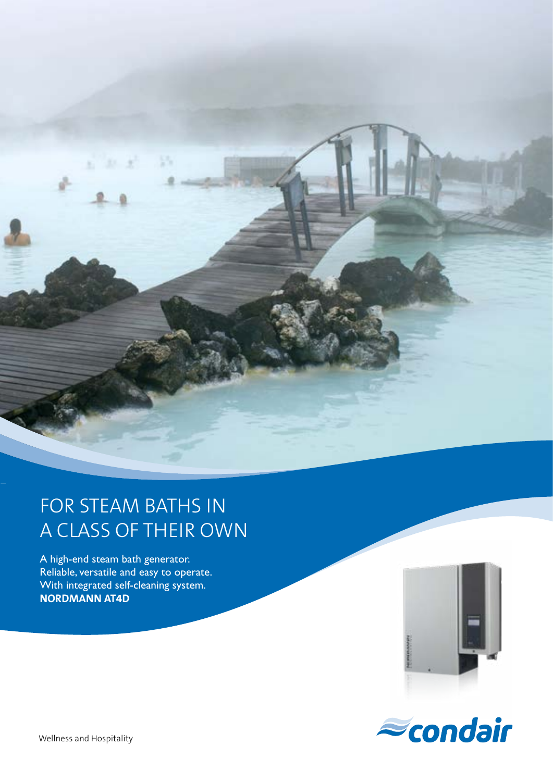

## FOR STEAM BATHS IN A CLASS OF THEIR OWN

A high-end steam bath generator. Reliable, versatile and easy to operate. With integrated self-cleaning system. **NORDMANN AT4D**



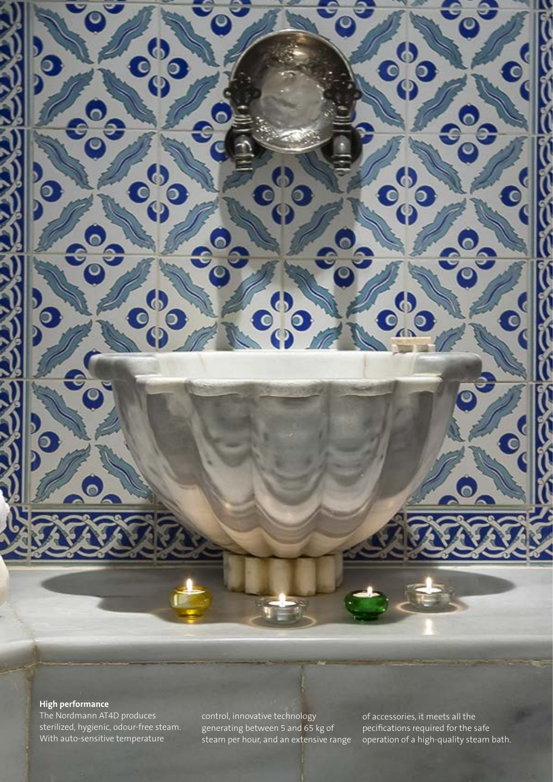### **High performance**

 $\circ$ 

The Nordmann AT4D produces sterilized, hygienic, odour-free steam. With auto-sensitive temperature

 $\mathbf{d}$ 

 $\mathbf{B}_{\mathbf{0}}$ 

 $\bullet$ 

 $\mathbf{e}_{0}^{\prime\prime}$ 

control, innovative technology generating between 5 and 65 kg of steam per hour, and an extensive range

d

 $\bullet$ 

ි

of accessories, it meets all the pecifications required for the safe operation of a high-quality steam bath.

 $\bf{G}$ 

 $\bm{b}$ 

.d

 $\bullet$ 

 $\mathbf{e}_{0}^{\omega}$ 

D

 $\mathbf{e}_{0}^{\circ}$ 

(d

ි

 $\overline{\mathsf{c}}$ 

ငြ

 $\overline{\epsilon}$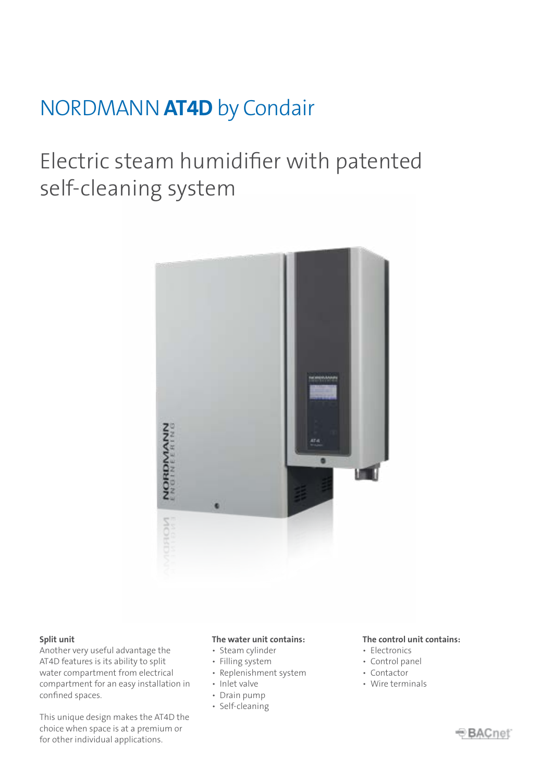## NORDMANN **AT4D** by Condair

# Electric steam humidifier with patented self-cleaning system



#### **Split unit**

Another very useful advantage the AT4D features is its ability to split water compartment from electrical compartment for an easy installation in confined spaces.

This unique design makes the AT4D the choice when space is at a premium or for other individual applications.

### **The water unit contains:**

- Steam cylinder
- Filling system
- Replenishment system
- Inlet valve
- Drain pump
- Self-cleaning

#### **The control unit contains:**

- Electronics
- Control panel
- Contactor
- Wire terminals

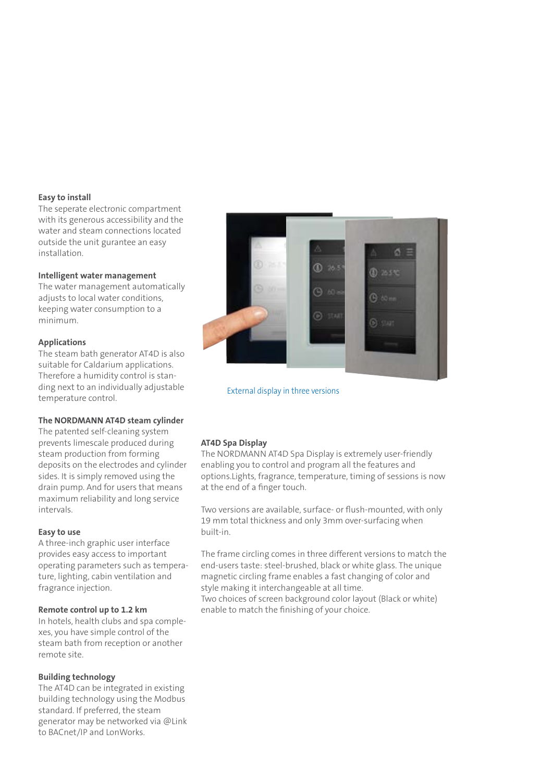#### **Easy to install**

The seperate electronic compartment with its generous accessibility and the water and steam connections located outside the unit gurantee an easy installation.

#### **Intelligent water management**

The water management automatically adjusts to local water conditions, keeping water consumption to a minimum.

#### **Applications**

The steam bath generator AT4D is also suitable for Caldarium applications. Therefore a humidity control is standing next to an individually adjustable temperature control.

#### **The NORDMANN AT4D steam cylinder**

The patented self-cleaning system prevents limescale produced during steam production from forming deposits on the electrodes and cylinder sides. It is simply removed using the drain pump. And for users that means maximum reliability and long service intervals.

#### **Easy to use**

A three-inch graphic user interface provides easy access to important operating parameters such as temperature, lighting, cabin ventilation and fragrance injection.

#### **Remote control up to 1.2 km**

In hotels, health clubs and spa complexes, you have simple control of the steam bath from reception or another remote site.

#### **Building technology**

The AT4D can be integrated in existing building technology using the Modbus standard. If preferred, the steam generator may be networked via @Link to BACnet/IP and LonWorks.



External display in three versions

#### **AT4D Spa Display**

The NORDMANN AT4D Spa Display is extremely user-friendly enabling you to control and program all the features and options.Lights, fragrance, temperature, timing of sessions is now at the end of a finger touch.

Two versions are available, surface- or flush-mounted, with only 19 mm total thickness and only 3mm over-surfacing when built-in.

The frame circling comes in three different versions to match the end-users taste: steel-brushed, black or white glass. The unique magnetic circling frame enables a fast changing of color and style making it interchangeable at all time. Two choices of screen background color layout (Black or white) enable to match the finishing of your choice.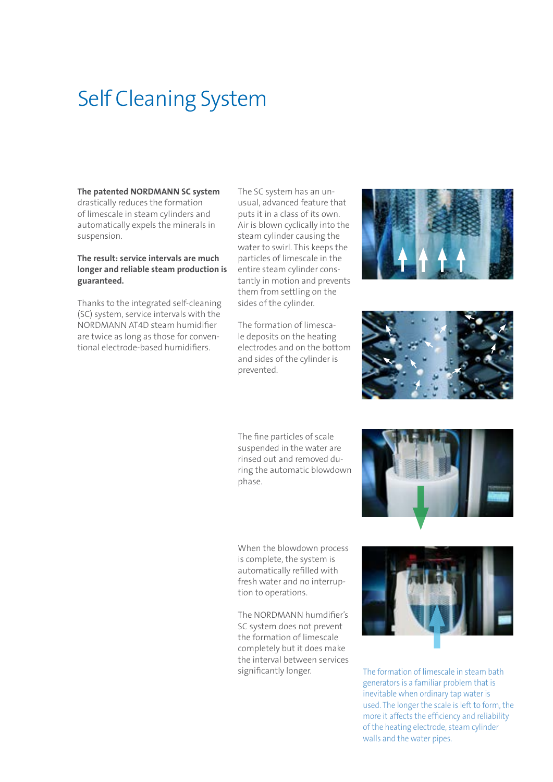# Self Cleaning System

**The patented NORDMANN SC system** drastically reduces the formation of limescale in steam cylinders and automatically expels the minerals in suspension.

#### **The result: service intervals are much longer and reliable steam production is guaranteed.**

Thanks to the integrated self-cleaning (SC) system, service intervals with the NORDMANN AT4D steam humidifier are twice as long as those for conventional electrode-based humidifiers.

The SC system has an unusual, advanced feature that puts it in a class of its own. Air is blown cyclically into the steam cylinder causing the water to swirl. This keeps the particles of limescale in the entire steam cylinder constantly in motion and prevents them from settling on the sides of the cylinder.

The formation of limescale deposits on the heating electrodes and on the bottom and sides of the cylinder is prevented.

The fine particles of scale suspended in the water are rinsed out and removed during the automatic blowdown phase.

When the blowdown process is complete, the system is automatically refilled with fresh water and no interruption to operations.

The NORDMANN humdifier's SC system does not prevent the formation of limescale completely but it does make the interval between services significantly longer.









The formation of limescale in steam bath generators is a familiar problem that is inevitable when ordinary tap water is used. The longer the scale is left to form, the more it affects the efficiency and reliability of the heating electrode, steam cylinder walls and the water pipes.